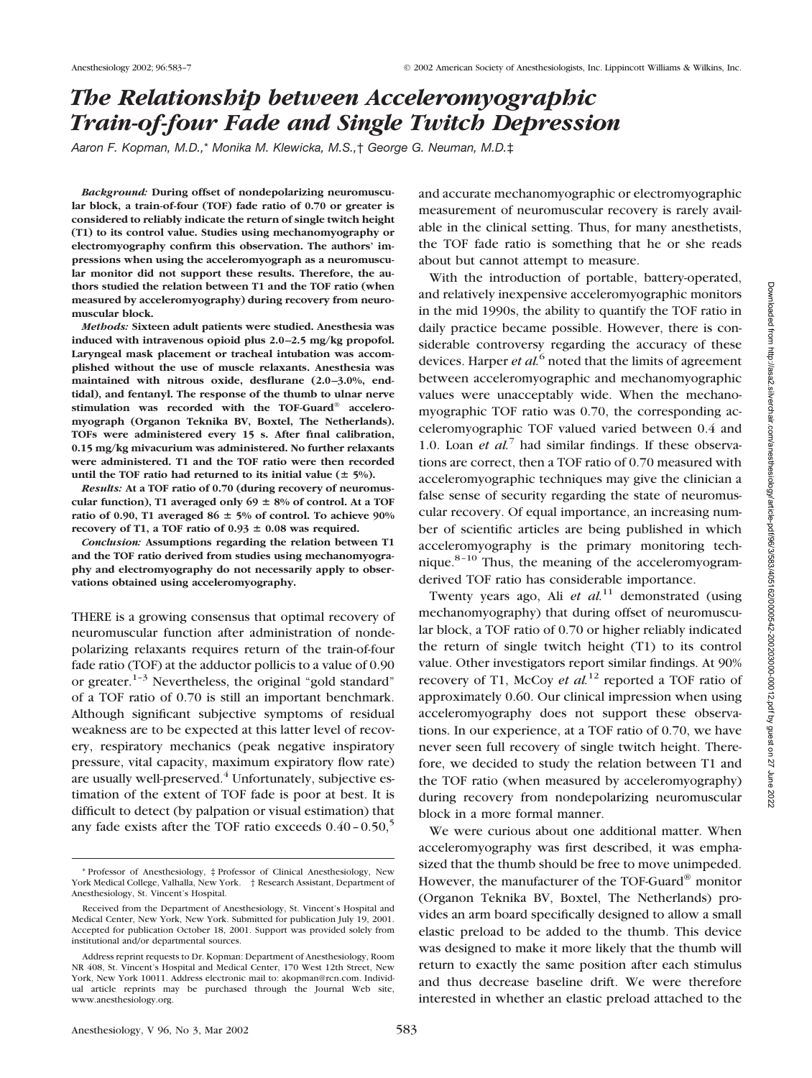# *The Relationship between Acceleromyographic Train-of-four Fade and Single Twitch Depression*

*Aaron F. Kopman, M.D.,*\* *Monika M. Klewicka, M.S.,*† *George G. Neuman, M.D.*‡

*Background:* **During offset of nondepolarizing neuromuscular block, a train-of-four (TOF) fade ratio of 0.70 or greater is considered to reliably indicate the return of single twitch height (T1) to its control value. Studies using mechanomyography or electromyography confirm this observation. The authors' impressions when using the acceleromyograph as a neuromuscular monitor did not support these results. Therefore, the authors studied the relation between T1 and the TOF ratio (when measured by acceleromyography) during recovery from neuromuscular block.**

*Methods:* **Sixteen adult patients were studied. Anesthesia was induced with intravenous opioid plus 2.0–2.5 mg/kg propofol. Laryngeal mask placement or tracheal intubation was accomplished without the use of muscle relaxants. Anesthesia was maintained with nitrous oxide, desflurane (2.0–3.0%, endtidal), and fentanyl. The response of the thumb to ulnar nerve stimulation was recorded with the TOF-Guard® acceleromyograph (Organon Teknika BV, Boxtel, The Netherlands). TOFs were administered every 15 s. After final calibration, 0.15 mg/kg mivacurium was administered. No further relaxants were administered. T1 and the TOF ratio were then recorded** until the TOF ratio had returned to its initial value  $(± 5\%)$ .

*Results:* **At a TOF ratio of 0.70 (during recovery of neuromus**cular function), T1 averaged only  $69 \pm 8\%$  of control. At a TOF **ratio of 0.90, T1 averaged 86 5% of control. To achieve 90% recovery of T1, a TOF ratio of 0.93**  $\pm$  **0.08 was required.** 

*Conclusion:* **Assumptions regarding the relation between T1 and the TOF ratio derived from studies using mechanomyography and electromyography do not necessarily apply to observations obtained using acceleromyography.**

THERE is a growing consensus that optimal recovery of neuromuscular function after administration of nondepolarizing relaxants requires return of the train-of-four fade ratio (TOF) at the adductor pollicis to a value of 0.90 or greater. $1-3$  Nevertheless, the original "gold standard" of a TOF ratio of 0.70 is still an important benchmark. Although significant subjective symptoms of residual weakness are to be expected at this latter level of recovery, respiratory mechanics (peak negative inspiratory pressure, vital capacity, maximum expiratory flow rate) are usually well-preserved.<sup>4</sup> Unfortunately, subjective estimation of the extent of TOF fade is poor at best. It is difficult to detect (by palpation or visual estimation) that any fade exists after the TOF ratio exceeds  $0.40$  -  $0.50$ ,<sup>5</sup>

and accurate mechanomyographic or electromyographic measurement of neuromuscular recovery is rarely available in the clinical setting. Thus, for many anesthetists, the TOF fade ratio is something that he or she reads about but cannot attempt to measure.

With the introduction of portable, battery-operated, and relatively inexpensive acceleromyographic monitors in the mid 1990s, the ability to quantify the TOF ratio in daily practice became possible. However, there is considerable controversy regarding the accuracy of these devices. Harper *et al.*<sup>6</sup> noted that the limits of agreement between acceleromyographic and mechanomyographic values were unacceptably wide. When the mechanomyographic TOF ratio was 0.70, the corresponding acceleromyographic TOF valued varied between 0.4 and 1.0. Loan *et al.*<sup>7</sup> had similar findings. If these observations are correct, then a TOF ratio of 0.70 measured with acceleromyographic techniques may give the clinician a false sense of security regarding the state of neuromuscular recovery. Of equal importance, an increasing number of scientific articles are being published in which acceleromyography is the primary monitoring technique.<sup>8-10</sup> Thus, the meaning of the acceleromyogramderived TOF ratio has considerable importance.

Twenty years ago, Ali *et al.*<sup>11</sup> demonstrated (using mechanomyography) that during offset of neuromuscular block, a TOF ratio of 0.70 or higher reliably indicated the return of single twitch height (T1) to its control value. Other investigators report similar findings. At 90% recovery of T1, McCoy *et al.*<sup>12</sup> reported a TOF ratio of approximately 0.60. Our clinical impression when using acceleromyography does not support these observations. In our experience, at a TOF ratio of 0.70, we have never seen full recovery of single twitch height. Therefore, we decided to study the relation between T1 and the TOF ratio (when measured by acceleromyography) during recovery from nondepolarizing neuromuscular block in a more formal manner.

We were curious about one additional matter. When acceleromyography was first described, it was emphasized that the thumb should be free to move unimpeded. However, the manufacturer of the TOF-Guard® monitor (Organon Teknika BV, Boxtel, The Netherlands) provides an arm board specifically designed to allow a small elastic preload to be added to the thumb. This device was designed to make it more likely that the thumb will return to exactly the same position after each stimulus and thus decrease baseline drift. We were therefore interested in whether an elastic preload attached to the

<sup>\*</sup> Professor of Anesthesiology, ‡ Professor of Clinical Anesthesiology, New York Medical College, Valhalla, New York. † Research Assistant, Department of Anesthesiology, St. Vincent's Hospital.

Received from the Department of Anesthesiology, St. Vincent's Hospital and Medical Center, New York, New York. Submitted for publication July 19, 2001. Accepted for publication October 18, 2001. Support was provided solely from institutional and/or departmental sources.

Address reprint requests to Dr. Kopman: Department of Anesthesiology, Room NR 408, St. Vincent's Hospital and Medical Center, 170 West 12th Street, New York, New York 10011. Address electronic mail to: akopman@rcn.com. Individual article reprints may be purchased through the Journal Web site, www.anesthesiology.org.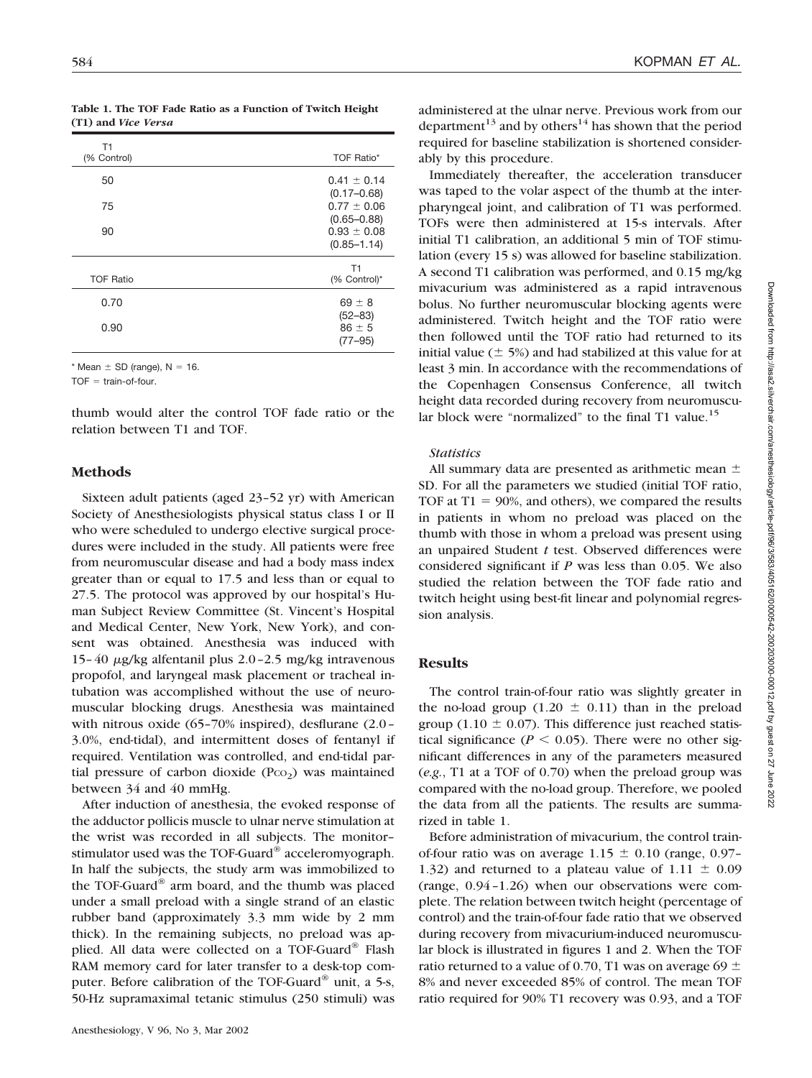**Table 1. The TOF Fade Ratio as a Function of Twitch Height (T1) and** *Vice Versa*

| T1<br>(% Control) | TOF Ratio*                                            |
|-------------------|-------------------------------------------------------|
| 50                | $0.41 \pm 0.14$                                       |
| 75                | $(0.17 - 0.68)$<br>$0.77 \pm 0.06$                    |
| 90                | $(0.65 - 0.88)$<br>$0.93 \pm 0.08$<br>$(0.85 - 1.14)$ |
| <b>TOF Ratio</b>  | T1<br>(% Control)*                                    |
| 0.70              | $69 \pm 8$                                            |
| 0.90              | $(52 - 83)$<br>$86 \pm 5$<br>$(77 - 95)$              |

 $*$  Mean  $\pm$  SD (range), N = 16.

 $TOF = train-of-four.$ 

thumb would alter the control TOF fade ratio or the relation between T1 and TOF.

# **Methods**

Sixteen adult patients (aged 23–52 yr) with American Society of Anesthesiologists physical status class I or II who were scheduled to undergo elective surgical procedures were included in the study. All patients were free from neuromuscular disease and had a body mass index greater than or equal to 17.5 and less than or equal to 27.5. The protocol was approved by our hospital's Human Subject Review Committee (St. Vincent's Hospital and Medical Center, New York, New York), and consent was obtained. Anesthesia was induced with 15–40  $\mu$ g/kg alfentanil plus 2.0–2.5 mg/kg intravenous propofol, and laryngeal mask placement or tracheal intubation was accomplished without the use of neuromuscular blocking drugs. Anesthesia was maintained with nitrous oxide (65–70% inspired), desflurane (2.0– 3.0%, end-tidal), and intermittent doses of fentanyl if required. Ventilation was controlled, and end-tidal partial pressure of carbon dioxide  $(PCO<sub>2</sub>)$  was maintained between 34 and 40 mmHg.

After induction of anesthesia, the evoked response of the adductor pollicis muscle to ulnar nerve stimulation at the wrist was recorded in all subjects. The monitor– stimulator used was the TOF-Guard® acceleromyograph. In half the subjects, the study arm was immobilized to the TOF-Guard® arm board, and the thumb was placed under a small preload with a single strand of an elastic rubber band (approximately 3.3 mm wide by 2 mm thick). In the remaining subjects, no preload was applied. All data were collected on a TOF-Guard® Flash RAM memory card for later transfer to a desk-top computer. Before calibration of the TOF-Guard® unit, a 5-s, 50-Hz supramaximal tetanic stimulus (250 stimuli) was

administered at the ulnar nerve. Previous work from our department<sup>13</sup> and by others<sup>14</sup> has shown that the period required for baseline stabilization is shortened considerably by this procedure.

Immediately thereafter, the acceleration transducer was taped to the volar aspect of the thumb at the interpharyngeal joint, and calibration of T1 was performed. TOFs were then administered at 15-s intervals. After initial T1 calibration, an additional 5 min of TOF stimulation (every 15 s) was allowed for baseline stabilization. A second T1 calibration was performed, and 0.15 mg/kg mivacurium was administered as a rapid intravenous bolus. No further neuromuscular blocking agents were administered. Twitch height and the TOF ratio were then followed until the TOF ratio had returned to its initial value ( $\pm$  5%) and had stabilized at this value for at least 3 min. In accordance with the recommendations of the Copenhagen Consensus Conference, all twitch height data recorded during recovery from neuromuscular block were "normalized" to the final T1 value.<sup>15</sup>

#### *Statistics*

All summary data are presented as arithmetic mean  $\pm$ SD. For all the parameters we studied (initial TOF ratio, TOF at  $T1 = 90\%$ , and others), we compared the results in patients in whom no preload was placed on the thumb with those in whom a preload was present using an unpaired Student *t* test. Observed differences were considered significant if *P* was less than 0.05. We also studied the relation between the TOF fade ratio and twitch height using best-fit linear and polynomial regression analysis.

## **Results**

The control train-of-four ratio was slightly greater in the no-load group  $(1.20 \pm 0.11)$  than in the preload group (1.10  $\pm$  0.07). This difference just reached statistical significance ( $P < 0.05$ ). There were no other significant differences in any of the parameters measured (*e.g.*, T1 at a TOF of 0.70) when the preload group was compared with the no-load group. Therefore, we pooled the data from all the patients. The results are summarized in table 1.

Before administration of mivacurium, the control trainof-four ratio was on average  $1.15 \pm 0.10$  (range, 0.97– 1.32) and returned to a plateau value of 1.11  $\pm$  0.09 (range, 0.94–1.26) when our observations were complete. The relation between twitch height (percentage of control) and the train-of-four fade ratio that we observed during recovery from mivacurium-induced neuromuscular block is illustrated in figures 1 and 2. When the TOF ratio returned to a value of 0.70, T1 was on average 69  $\pm$ 8% and never exceeded 85% of control. The mean TOF ratio required for 90% T1 recovery was 0.93, and a TOF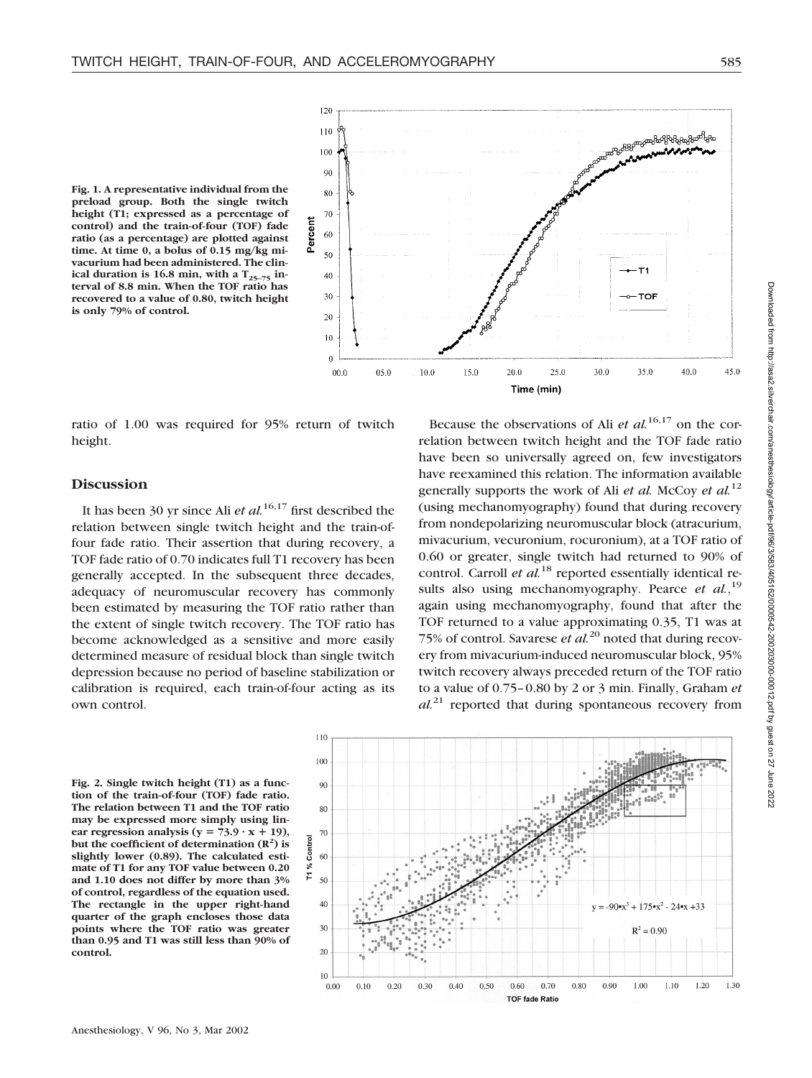

**Fig. 1. A representative individual from the preload group. Both the single twitch height (T1; expressed as a percentage of control) and the train-of-four (TOF) fade ratio (as a percentage) are plotted against time. At time 0, a bolus of 0.15 mg/kg mivacurium had been administered. The clin**ical duration is 16.8 min, with a  $T_{25-75}$  in**terval of 8.8 min. When the TOF ratio has recovered to a value of 0.80, twitch height is only 79% of control.**

ratio of 1.00 was required for 95% return of twitch height.

### **Discussion**

It has been 30 yr since Ali *et al.*16,17 first described the relation between single twitch height and the train-offour fade ratio. Their assertion that during recovery, a TOF fade ratio of 0.70 indicates full T1 recovery has been generally accepted. In the subsequent three decades, adequacy of neuromuscular recovery has commonly been estimated by measuring the TOF ratio rather than the extent of single twitch recovery. The TOF ratio has become acknowledged as a sensitive and more easily determined measure of residual block than single twitch depression because no period of baseline stabilization or calibration is required, each train-of-four acting as its own control.

Because the observations of Ali *et al.*16,17 on the correlation between twitch height and the TOF fade ratio have been so universally agreed on, few investigators have reexamined this relation. The information available generally supports the work of Ali *et al.* McCoy *et al.*<sup>12</sup> (using mechanomyography) found that during recovery from nondepolarizing neuromuscular block (atracurium, mivacurium, vecuronium, rocuronium), at a TOF ratio of 0.60 or greater, single twitch had returned to 90% of control. Carroll *et al.*<sup>18</sup> reported essentially identical results also using mechanomyography. Pearce *et al.*,<sup>19</sup> again using mechanomyography, found that after the TOF returned to a value approximating 0.35, T1 was at 75% of control. Savarese *et al.*<sup>20</sup> noted that during recovery from mivacurium-induced neuromuscular block, 95% twitch recovery always preceded return of the TOF ratio to a value of 0.75–0.80 by 2 or 3 min. Finally, Graham *et al.*<sup>21</sup> reported that during spontaneous recovery from

**Fig. 2. Single twitch height (T1) as a function of the train-of-four (TOF) fade ratio. The relation between T1 and the TOF ratio may be expressed more simply using lin**ear regression analysis ( $y = 73.9 \cdot x + 19$ ), but the coefficient of determination  $(R^2)$  is **slightly lower (0.89). The calculated estimate of T1 for any TOF value between 0.20 and 1.10 does not differ by more than 3% of control, regardless of the equation used. The rectangle in the upper right-hand quarter of the graph encloses those data points where the TOF ratio was greater than 0.95 and T1 was still less than 90% of control.**

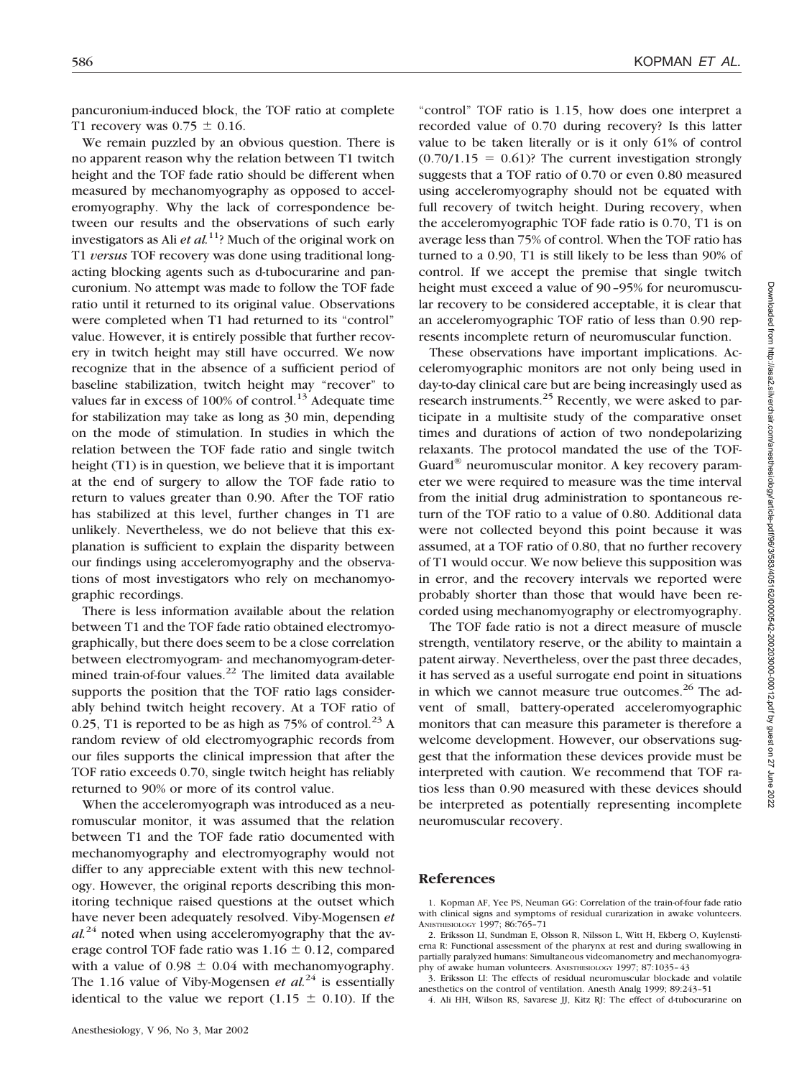pancuronium-induced block, the TOF ratio at complete T1 recovery was  $0.75 \pm 0.16$ .

We remain puzzled by an obvious question. There is no apparent reason why the relation between T1 twitch height and the TOF fade ratio should be different when measured by mechanomyography as opposed to acceleromyography. Why the lack of correspondence between our results and the observations of such early investigators as Ali *et al.*<sup>11</sup>? Much of the original work on T1 *versus* TOF recovery was done using traditional longacting blocking agents such as d-tubocurarine and pancuronium. No attempt was made to follow the TOF fade ratio until it returned to its original value. Observations were completed when T1 had returned to its "control" value. However, it is entirely possible that further recovery in twitch height may still have occurred. We now recognize that in the absence of a sufficient period of baseline stabilization, twitch height may "recover" to values far in excess of  $100\%$  of control.<sup>13</sup> Adequate time for stabilization may take as long as 30 min, depending on the mode of stimulation. In studies in which the relation between the TOF fade ratio and single twitch height (T1) is in question, we believe that it is important at the end of surgery to allow the TOF fade ratio to return to values greater than 0.90. After the TOF ratio has stabilized at this level, further changes in T1 are unlikely. Nevertheless, we do not believe that this explanation is sufficient to explain the disparity between our findings using acceleromyography and the observations of most investigators who rely on mechanomyographic recordings.

There is less information available about the relation between T1 and the TOF fade ratio obtained electromyographically, but there does seem to be a close correlation between electromyogram- and mechanomyogram-determined train-of-four values.<sup>22</sup> The limited data available supports the position that the TOF ratio lags considerably behind twitch height recovery. At a TOF ratio of 0.25, T1 is reported to be as high as  $75\%$  of control.<sup>23</sup> A random review of old electromyographic records from our files supports the clinical impression that after the TOF ratio exceeds 0.70, single twitch height has reliably returned to 90% or more of its control value.

When the acceleromyograph was introduced as a neuromuscular monitor, it was assumed that the relation between T1 and the TOF fade ratio documented with mechanomyography and electromyography would not differ to any appreciable extent with this new technology. However, the original reports describing this monitoring technique raised questions at the outset which have never been adequately resolved. Viby-Mogensen *et*  $al^{24}$  noted when using acceleromyography that the average control TOF fade ratio was  $1.16 \pm 0.12$ , compared with a value of  $0.98 \pm 0.04$  with mechanomyography. The 1.16 value of Viby-Mogensen *et al.*<sup>24</sup> is essentially identical to the value we report (1.15  $\pm$  0.10). If the

"control" TOF ratio is 1.15, how does one interpret a recorded value of 0.70 during recovery? Is this latter value to be taken literally or is it only 61% of control  $(0.70/1.15 = 0.61)$ ? The current investigation strongly suggests that a TOF ratio of 0.70 or even 0.80 measured using acceleromyography should not be equated with full recovery of twitch height. During recovery, when the acceleromyographic TOF fade ratio is 0.70, T1 is on average less than 75% of control. When the TOF ratio has turned to a 0.90, T1 is still likely to be less than 90% of control. If we accept the premise that single twitch height must exceed a value of 90–95% for neuromuscular recovery to be considered acceptable, it is clear that an acceleromyographic TOF ratio of less than 0.90 represents incomplete return of neuromuscular function.

These observations have important implications. Acceleromyographic monitors are not only being used in day-to-day clinical care but are being increasingly used as research instruments.<sup>25</sup> Recently, we were asked to participate in a multisite study of the comparative onset times and durations of action of two nondepolarizing relaxants. The protocol mandated the use of the TOF-Guard® neuromuscular monitor. A key recovery parameter we were required to measure was the time interval from the initial drug administration to spontaneous return of the TOF ratio to a value of 0.80. Additional data were not collected beyond this point because it was assumed, at a TOF ratio of 0.80, that no further recovery of T1 would occur. We now believe this supposition was in error, and the recovery intervals we reported were probably shorter than those that would have been recorded using mechanomyography or electromyography.

The TOF fade ratio is not a direct measure of muscle strength, ventilatory reserve, or the ability to maintain a patent airway. Nevertheless, over the past three decades, it has served as a useful surrogate end point in situations in which we cannot measure true outcomes.<sup>26</sup> The advent of small, battery-operated acceleromyographic monitors that can measure this parameter is therefore a welcome development. However, our observations suggest that the information these devices provide must be interpreted with caution. We recommend that TOF ratios less than 0.90 measured with these devices should be interpreted as potentially representing incomplete neuromuscular recovery.

#### **References**

<sup>1.</sup> Kopman AF, Yee PS, Neuman GG: Correlation of the train-of-four fade ratio with clinical signs and symptoms of residual curarization in awake volunteers. ANESTHESIOLOGY 1997; 86:765–71

<sup>2.</sup> Eriksson LI, Sundman E, Olsson R, Nilsson L, Witt H, Ekberg O, Kuylenstierna R: Functional assessment of the pharynx at rest and during swallowing in partially paralyzed humans: Simultaneous videomanometry and mechanomyography of awake human volunteers. ANESTHESIOLOGY 1997; 87:1035–43

<sup>3.</sup> Eriksson LI: The effects of residual neuromuscular blockade and volatile anesthetics on the control of ventilation. Anesth Analg 1999; 89:243–51

<sup>4.</sup> Ali HH, Wilson RS, Savarese JJ, Kitz RJ: The effect of d-tubocurarine on